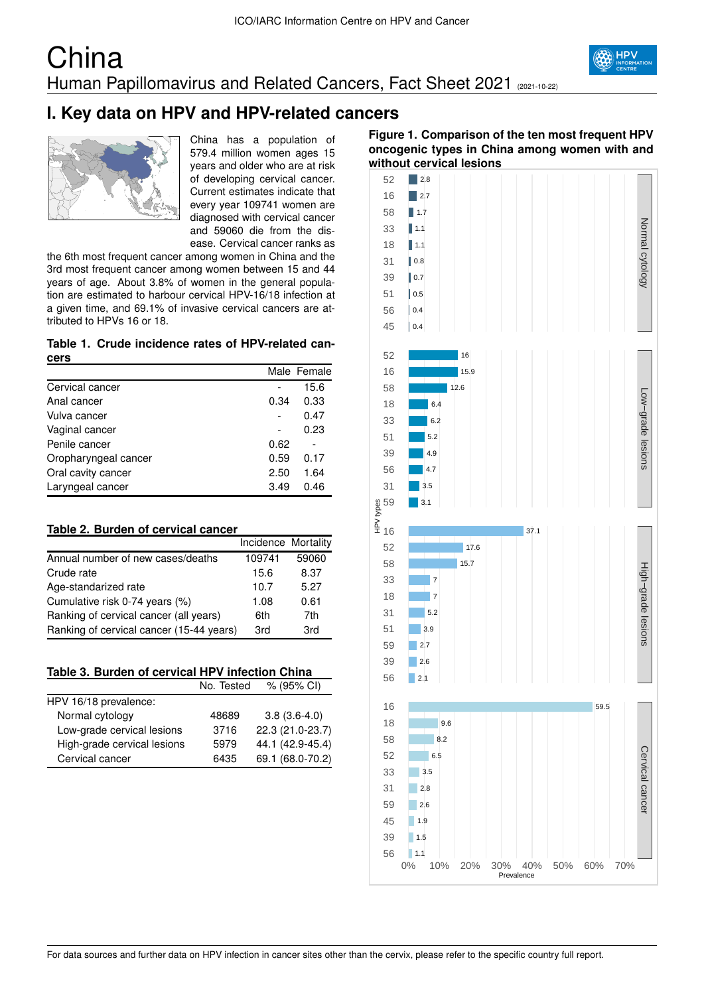## **China** Human Papillomavirus and Related Cancers, Fact Sheet 2021 (2021-10-22)



# **I. Key data on HPV and HPV-related cancers**



China has a population of 579.4 million women ages 15 years and older who are at risk of developing cervical cancer. Current estimates indicate that every year 109741 women are diagnosed with cervical cancer and 59060 die from the disease. Cervical cancer ranks as

the 6th most frequent cancer among women in China and the 3rd most frequent cancer among women between 15 and 44 years of age. About 3.8% of women in the general population are estimated to harbour cervical HPV-16/18 infection at a given time, and 69.1% of invasive cervical cancers are attributed to HPVs 16 or 18.

### **Table 1. Crude incidence rates of HPV-related cancers**

|                      |      | Male Female |
|----------------------|------|-------------|
| Cervical cancer      |      | 15.6        |
| Anal cancer          | 0.34 | 0.33        |
| Vulva cancer         |      | 0.47        |
| Vaginal cancer       |      | 0.23        |
| Penile cancer        | 0.62 |             |
| Oropharyngeal cancer | 0.59 | 0.17        |
| Oral cavity cancer   | 2.50 | 1.64        |
| Laryngeal cancer     | 3.49 | 0.46        |

## **Table 2. Burden of cervical cancer**

|                                          | Incidence Mortality |       |
|------------------------------------------|---------------------|-------|
| Annual number of new cases/deaths        | 109741              | 59060 |
| Crude rate                               | 15.6                | 8.37  |
| Age-standarized rate                     | 10.7                | 5.27  |
| Cumulative risk 0-74 years (%)           | 1.08                | 0.61  |
| Ranking of cervical cancer (all years)   | 6th                 | 7th   |
| Ranking of cervical cancer (15-44 years) | 3rd                 | 3rd   |

|  |  | Table 3. Burden of cervical HPV infection China |  |
|--|--|-------------------------------------------------|--|
|--|--|-------------------------------------------------|--|

|                             | No. Tested | $% (95\% \text{ Cl})$ |
|-----------------------------|------------|-----------------------|
| HPV 16/18 prevalence:       |            |                       |
| Normal cytology             | 48689      | $3.8(3.6-4.0)$        |
| Low-grade cervical lesions  | 3716       | 22.3 (21.0-23.7)      |
| High-grade cervical lesions | 5979       | 44.1 (42.9-45.4)      |
| Cervical cancer             | 6435       | 69.1 (68.0-70.2)      |

## **Figure 1. Comparison of the ten most frequent HPV oncogenic types in China among women with and without cervical lesions**